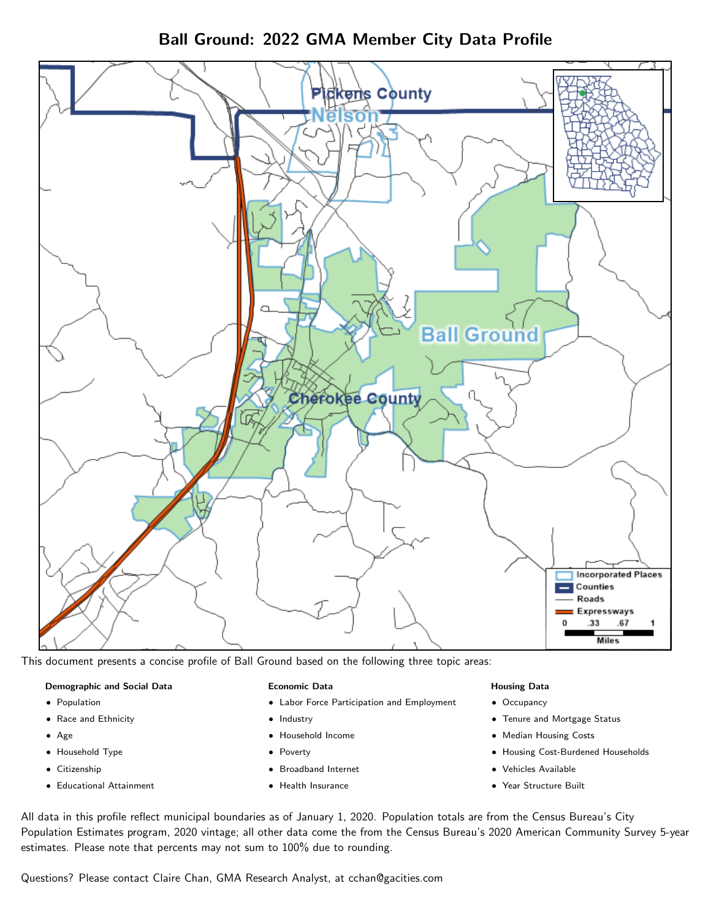Ball Ground: 2022 GMA Member City Data Profile



This document presents a concise profile of Ball Ground based on the following three topic areas:

#### Demographic and Social Data

- **•** Population
- Race and Ethnicity
- Age
- Household Type
- **Citizenship**
- Educational Attainment

#### Economic Data

- Labor Force Participation and Employment
- Industry
- Household Income
- Poverty
- Broadband Internet
- Health Insurance

#### Housing Data

- Occupancy
- Tenure and Mortgage Status
- Median Housing Costs
- Housing Cost-Burdened Households
- Vehicles Available
- Year Structure Built

All data in this profile reflect municipal boundaries as of January 1, 2020. Population totals are from the Census Bureau's City Population Estimates program, 2020 vintage; all other data come the from the Census Bureau's 2020 American Community Survey 5-year estimates. Please note that percents may not sum to 100% due to rounding.

Questions? Please contact Claire Chan, GMA Research Analyst, at [cchan@gacities.com.](mailto:cchan@gacities.com)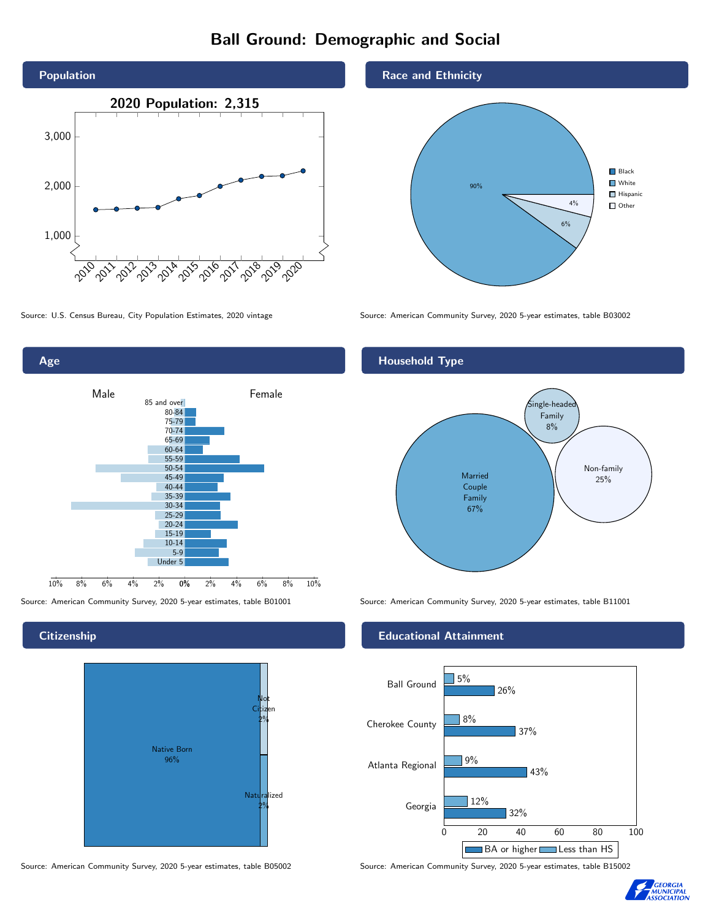# Ball Ground: Demographic and Social





**Citizenship** 



Source: American Community Survey, 2020 5-year estimates, table B05002 Source: American Community Survey, 2020 5-year estimates, table B15002

### Race and Ethnicity



Source: U.S. Census Bureau, City Population Estimates, 2020 vintage Source: American Community Survey, 2020 5-year estimates, table B03002

## Household Type



Source: American Community Survey, 2020 5-year estimates, table B01001 Source: American Community Survey, 2020 5-year estimates, table B11001

### Educational Attainment



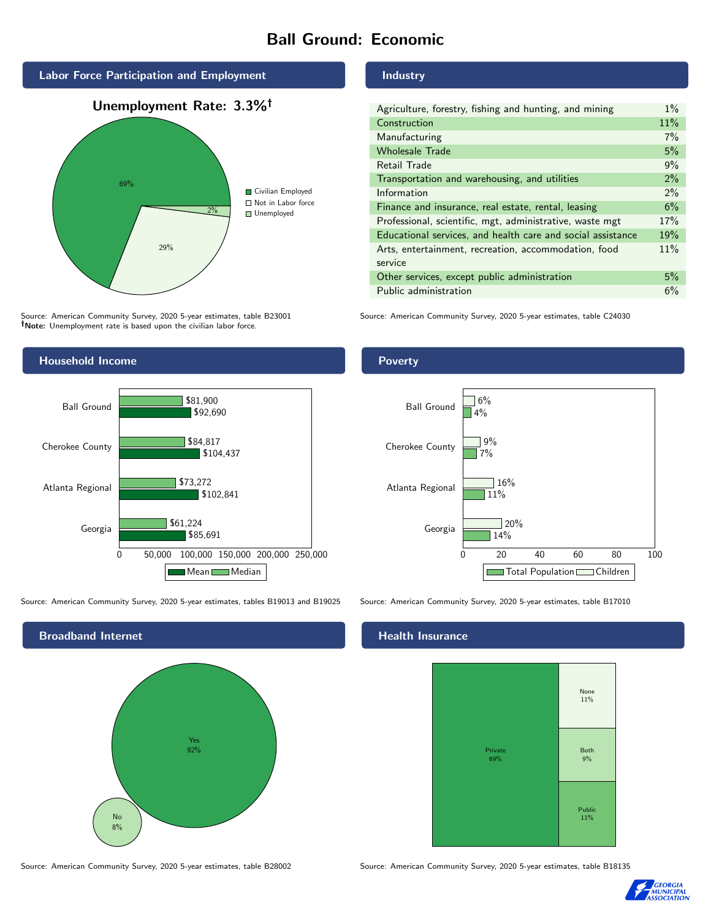# Ball Ground: Economic



Source: American Community Survey, 2020 5-year estimates, table B23001 Note: Unemployment rate is based upon the civilian labor force.

# Industry

| Agriculture, forestry, fishing and hunting, and mining      | $1\%$ |
|-------------------------------------------------------------|-------|
| Construction                                                | 11%   |
| Manufacturing                                               | 7%    |
| <b>Wholesale Trade</b>                                      | 5%    |
| Retail Trade                                                | 9%    |
| Transportation and warehousing, and utilities               | 2%    |
| Information                                                 | $2\%$ |
| Finance and insurance, real estate, rental, leasing         | 6%    |
| Professional, scientific, mgt, administrative, waste mgt    | 17%   |
| Educational services, and health care and social assistance | 19%   |
| Arts, entertainment, recreation, accommodation, food        | 11%   |
| service                                                     |       |
| Other services, except public administration                | 5%    |
| Public administration                                       | 6%    |

Source: American Community Survey, 2020 5-year estimates, table C24030



Source: American Community Survey, 2020 5-year estimates, tables B19013 and B19025 Source: American Community Survey, 2020 5-year estimates, table B17010



Source: American Community Survey, 2020 5-year estimates, table B28002 Source: American Community Survey, 2020 5-year estimates, table B18135

### Poverty



## **Health Insurance**